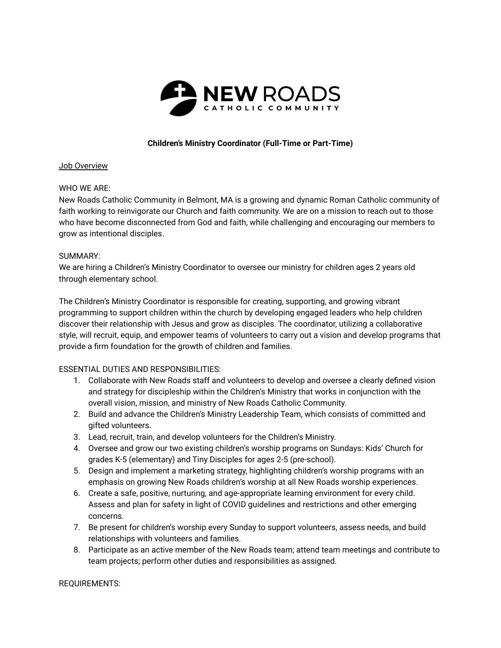

# **Children's Ministry Coordinator (Full-Time or Part-Time)**

### Job Overview

## WHO WE ARE:

New Roads Catholic Community in Belmont, MA is a growing and dynamic Roman Catholic community of faith working to reinvigorate our Church and faith community. We are on a mission to reach out to those who have become disconnected from God and faith, while challenging and encouraging our members to grow as intentional disciples.

### SUMMARY:

We are hiring a Children's Ministry Coordinator to oversee our ministry for children ages 2 years old through elementary school.

The Children's Ministry Coordinator is responsible for creating, supporting, and growing vibrant programming to support children within the church by developing engaged leaders who help children discover their relationship with Jesus and grow as disciples. The coordinator, utilizing a collaborative style, will recruit, equip, and empower teams of volunteers to carry out a vision and develop programs that provide a firm foundation for the growth of children and families.

## ESSENTIAL DUTIES AND RESPONSIBILITIES:

- 1. Collaborate with New Roads staff and volunteers to develop and oversee a clearly defined vision and strategy for discipleship within the Children's Ministry that works in conjunction with the overall vision, mission, and ministry of New Roads Catholic Community.
- 2. Build and advance the Children's Ministry Leadership Team, which consists of committed and gifted volunteers.
- 3. Lead, recruit, train, and develop volunteers for the Children's Ministry.
- 4. Oversee and grow our two existing children's worship programs on Sundays: Kids' Church for grades K-5 (elementary) and Tiny Disciples for ages 2-5 (pre-school).
- 5. Design and implement a marketing strategy, highlighting children's worship programs with an emphasis on growing New Roads children's worship at all New Roads worship experiences.
- 6. Create a safe, positive, nurturing, and age-appropriate learning environment for every child. Assess and plan for safety in light of COVID guidelines and restrictions and other emerging concerns.
- 7. Be present for children's worship every Sunday to support volunteers, assess needs, and build relationships with volunteers and families.
- 8. Participate as an active member of the New Roads team; attend team meetings and contribute to team projects; perform other duties and responsibilities as assigned.

#### REQUIREMENTS: